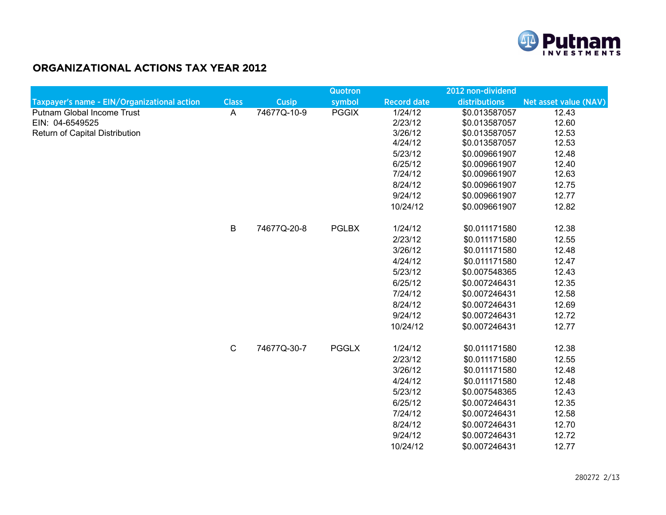

## ORGANIZATIONAL ACTIONS TAX YEAR 2012

|                                             |              |              | <b>Quotron</b> |                    | 2012 non-dividend |                       |
|---------------------------------------------|--------------|--------------|----------------|--------------------|-------------------|-----------------------|
| Taxpayer's name - EIN/Organizational action | <b>Class</b> | <b>Cusip</b> | symbol         | <b>Record date</b> | distributions     | Net asset value (NAV) |
| <b>Putnam Global Income Trust</b>           | A            | 74677Q-10-9  | <b>PGGIX</b>   | 1/24/12            | \$0.013587057     | 12.43                 |
| EIN: 04-6549525                             |              |              |                | 2/23/12            | \$0.013587057     | 12.60                 |
| Return of Capital Distribution              |              |              |                | 3/26/12            | \$0.013587057     | 12.53                 |
|                                             |              |              |                | 4/24/12            | \$0.013587057     | 12.53                 |
|                                             |              |              |                | 5/23/12            | \$0.009661907     | 12.48                 |
|                                             |              |              |                | 6/25/12            | \$0.009661907     | 12.40                 |
|                                             |              |              |                | 7/24/12            | \$0.009661907     | 12.63                 |
|                                             |              |              |                | 8/24/12            | \$0.009661907     | 12.75                 |
|                                             |              |              |                | 9/24/12            | \$0.009661907     | 12.77                 |
|                                             |              |              |                | 10/24/12           | \$0.009661907     | 12.82                 |
|                                             | $\sf B$      | 74677Q-20-8  | <b>PGLBX</b>   | 1/24/12            | \$0.011171580     | 12.38                 |
|                                             |              |              |                | 2/23/12            | \$0.011171580     | 12.55                 |
|                                             |              |              |                | 3/26/12            | \$0.011171580     | 12.48                 |
|                                             |              |              |                | 4/24/12            | \$0.011171580     | 12.47                 |
|                                             |              |              |                | 5/23/12            | \$0.007548365     | 12.43                 |
|                                             |              |              |                | 6/25/12            | \$0.007246431     | 12.35                 |
|                                             |              |              |                | 7/24/12            | \$0.007246431     | 12.58                 |
|                                             |              |              |                | 8/24/12            | \$0.007246431     | 12.69                 |
|                                             |              |              |                | 9/24/12            | \$0.007246431     | 12.72                 |
|                                             |              |              |                | 10/24/12           | \$0.007246431     | 12.77                 |
|                                             | ${\bf C}$    | 74677Q-30-7  | <b>PGGLX</b>   | 1/24/12            | \$0.011171580     | 12.38                 |
|                                             |              |              |                | 2/23/12            | \$0.011171580     | 12.55                 |
|                                             |              |              |                | 3/26/12            | \$0.011171580     | 12.48                 |
|                                             |              |              |                | 4/24/12            | \$0.011171580     | 12.48                 |
|                                             |              |              |                | 5/23/12            | \$0.007548365     | 12.43                 |
|                                             |              |              |                | 6/25/12            | \$0.007246431     | 12.35                 |
|                                             |              |              |                | 7/24/12            | \$0.007246431     | 12.58                 |
|                                             |              |              |                | 8/24/12            | \$0.007246431     | 12.70                 |
|                                             |              |              |                | 9/24/12            | \$0.007246431     | 12.72                 |
|                                             |              |              |                | 10/24/12           | \$0.007246431     | 12.77                 |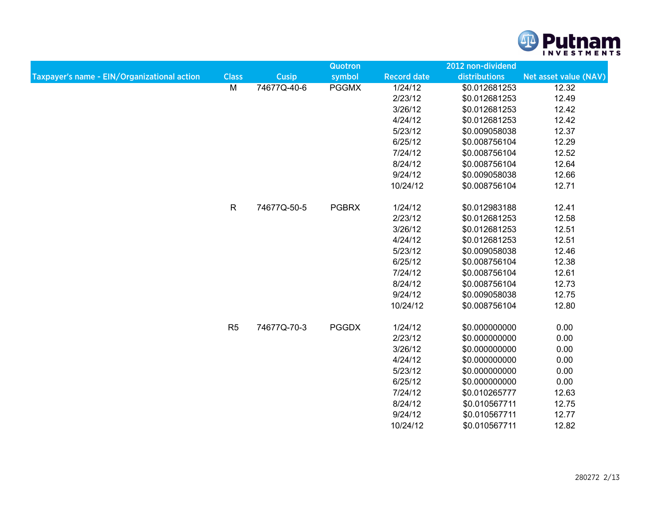

|                                             |                |              | Quotron      |                    | 2012 non-dividend |                       |
|---------------------------------------------|----------------|--------------|--------------|--------------------|-------------------|-----------------------|
| Taxpayer's name - EIN/Organizational action | <b>Class</b>   | <b>Cusip</b> | symbol       | <b>Record date</b> | distributions     | Net asset value (NAV) |
|                                             | M              | 74677Q-40-6  | <b>PGGMX</b> | 1/24/12            | \$0.012681253     | 12.32                 |
|                                             |                |              |              | 2/23/12            | \$0.012681253     | 12.49                 |
|                                             |                |              |              | 3/26/12            | \$0.012681253     | 12.42                 |
|                                             |                |              |              | 4/24/12            | \$0.012681253     | 12.42                 |
|                                             |                |              |              | 5/23/12            | \$0.009058038     | 12.37                 |
|                                             |                |              |              | 6/25/12            | \$0.008756104     | 12.29                 |
|                                             |                |              |              | 7/24/12            | \$0.008756104     | 12.52                 |
|                                             |                |              |              | 8/24/12            | \$0.008756104     | 12.64                 |
|                                             |                |              |              | 9/24/12            | \$0.009058038     | 12.66                 |
|                                             |                |              |              | 10/24/12           | \$0.008756104     | 12.71                 |
|                                             | $\mathsf{R}$   | 74677Q-50-5  | <b>PGBRX</b> | 1/24/12            | \$0.012983188     | 12.41                 |
|                                             |                |              |              | 2/23/12            | \$0.012681253     | 12.58                 |
|                                             |                |              |              | 3/26/12            | \$0.012681253     | 12.51                 |
|                                             |                |              |              | 4/24/12            | \$0.012681253     | 12.51                 |
|                                             |                |              |              | 5/23/12            | \$0.009058038     | 12.46                 |
|                                             |                |              |              | 6/25/12            | \$0.008756104     | 12.38                 |
|                                             |                |              |              | 7/24/12            | \$0.008756104     | 12.61                 |
|                                             |                |              |              | 8/24/12            | \$0.008756104     | 12.73                 |
|                                             |                |              |              | 9/24/12            | \$0.009058038     | 12.75                 |
|                                             |                |              |              | 10/24/12           | \$0.008756104     | 12.80                 |
|                                             | R <sub>5</sub> | 74677Q-70-3  | <b>PGGDX</b> | 1/24/12            | \$0.000000000     | 0.00                  |
|                                             |                |              |              | 2/23/12            | \$0.000000000     | 0.00                  |
|                                             |                |              |              | 3/26/12            | \$0.000000000     | 0.00                  |
|                                             |                |              |              | 4/24/12            | \$0.000000000     | 0.00                  |
|                                             |                |              |              | 5/23/12            | \$0.000000000     | 0.00                  |
|                                             |                |              |              | 6/25/12            | \$0.000000000     | 0.00                  |
|                                             |                |              |              | 7/24/12            | \$0.010265777     | 12.63                 |
|                                             |                |              |              | 8/24/12            | \$0.010567711     | 12.75                 |
|                                             |                |              |              | 9/24/12            | \$0.010567711     | 12.77                 |
|                                             |                |              |              | 10/24/12           | \$0.010567711     | 12.82                 |